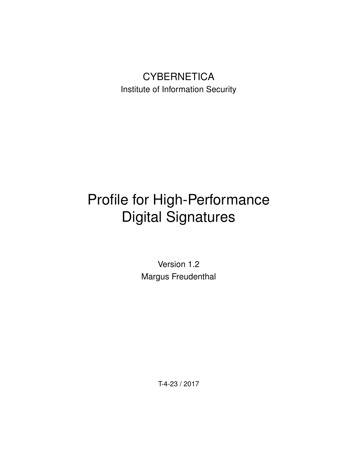# **CYBERNETICA** Institute of Information Security

# Profile for High-Performance Digital Signatures

Version 1.2 Margus Freudenthal

T-4-23 / 2017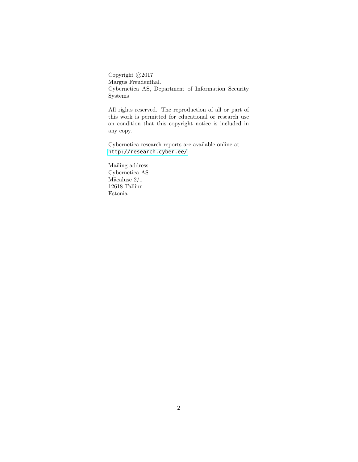Copyright  $\odot$ 2017 Margus Freudenthal. Cybernetica AS, Department of Information Security Systems

All rights reserved. The reproduction of all or part of this work is permitted for educational or research use on condition that this copyright notice is included in any copy.

Cybernetica research reports are available online at <http://research.cyber.ee/>

Mailing address: Cybernetica AS Mäe<br/>aluse  $2/1\,$ 12618 Tallinn Estonia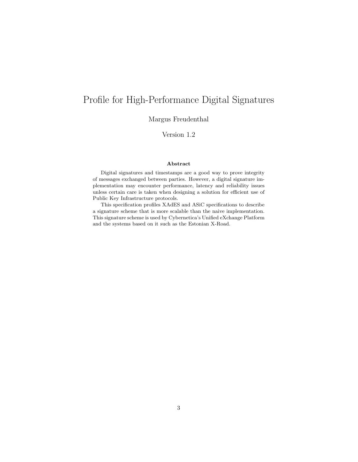# Profile for High-Performance Digital Signatures

Margus Freudenthal

Version 1.2

#### Abstract

Digital signatures and timestamps are a good way to prove integrity of messages exchanged between parties. However, a digital signature implementation may encounter performance, latency and reliability issues unless certain care is taken when designing a solution for efficient use of Public Key Infrastructure protocols.

This specification profiles XAdES and ASiC specifications to describe a signature scheme that is more scalable than the naive implementation. This signature scheme is used by Cybernetica's Unified eXchange Platform and the systems based on it such as the Estonian X-Road.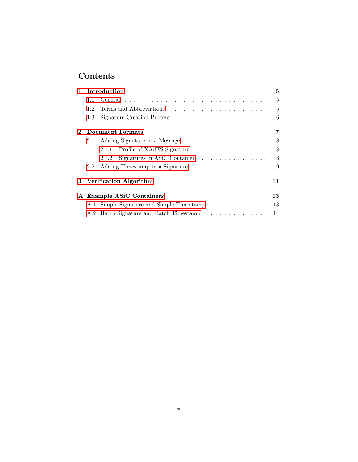# Contents

| $\mathbf{1}$ |               | Introduction<br>5                                                           |                |  |
|--------------|---------------|-----------------------------------------------------------------------------|----------------|--|
|              | 1.1           |                                                                             |                |  |
|              | 1.2           |                                                                             | $\overline{5}$ |  |
|              | $1.3\,$       |                                                                             | 6              |  |
| $\mathbf 2$  |               | Document Formats                                                            | 7              |  |
|              | 2.1           |                                                                             | 8              |  |
|              |               | 2.1.1                                                                       | 8 <sup>8</sup> |  |
|              |               | Signatures in ASiC Container $\dots \dots \dots \dots \dots \dots$<br>2.1.2 | 8              |  |
|              | $2.2^{\circ}$ |                                                                             | 9              |  |
|              |               | 3 Verification Algorithm                                                    | 11             |  |
|              |               | A Example ASiC Containers                                                   | 13             |  |
|              |               | A.1 Simple Signature and Simple Timestamp                                   | 13             |  |
|              | A.2           | Batch Signature and Batch Timestamp                                         | 14             |  |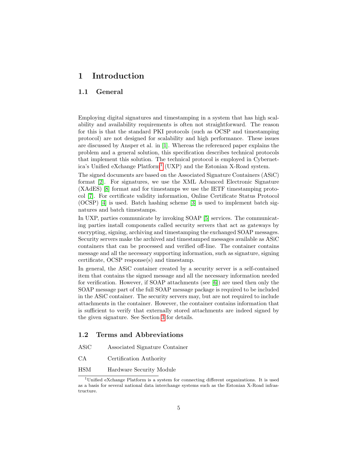## <span id="page-4-0"></span>1 Introduction

#### <span id="page-4-1"></span>1.1 General

Employing digital signatures and timestamping in a system that has high scalability and availability requirements is often not straightforward. The reason for this is that the standard PKI protocols (such as OCSP and timestamping protocol) are not designed for scalability and high performance. These issues are discussed by Ansper et al. in [\[1\]](#page-12-2). Whereas the referenced paper explains the problem and a general solution, this specification describes technical protocols that implement this solution. The technical protocol is employed in Cybernetica's Unified eXchange Platform[1](#page-4-3) (UXP) and the Estonian X-Road system.

The signed documents are based on the Associated Signature Containers (ASiC) format [\[2\]](#page-12-3). For signatures, we use the XML Advanced Electronic Signature (XAdES) [\[8\]](#page-12-4) format and for timestamps we use the IETF timestamping protocol [\[7\]](#page-12-5). For certificate validity information, Online Certificate Status Protocol (OCSP) [\[4\]](#page-12-6) is used. Batch hashing scheme [\[3\]](#page-12-7) is used to implement batch signatures and batch timestamps.

In UXP, parties communicate by invoking SOAP [\[5\]](#page-12-8) services. The communicating parties install components called security servers that act as gateways by encrypting, signing, archiving and timestamping the exchanged SOAP messages. Security servers make the archived and timestamped messages available as ASiC containers that can be processed and verified off-line. The container contains message and all the necessary supporting information, such as signature, signing certificate, OCSP response(s) and timestamp.

In general, the ASiC container created by a security server is a self-contained item that contains the signed message and all the necessary information needed for verification. However, if SOAP attachments (see [\[6\]](#page-12-9)) are used then only the SOAP message part of the full SOAP message package is required to be included in the ASiC container. The security servers may, but are not required to include attachments in the container. However, the container contains information that is sufficient to verify that externally stored attachments are indeed signed by the given signature. See Section [3](#page-10-0) for details.

#### <span id="page-4-2"></span>1.2 Terms and Abbreviations

- ASiC Associated Signature Container
- CA Certification Authority
- HSM Hardware Security Module

<span id="page-4-3"></span> $1$ Unified eXchange Platform is a system for connecting different organizations. It is used as a basis for several national data interchange systems such as the Estonian X-Road infrastructure.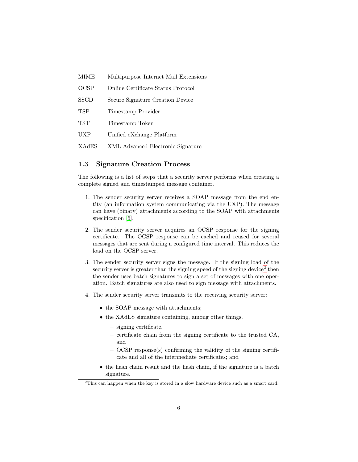- MIME Multipurpose Internet Mail Extensions
- OCSP Online Certificate Status Protocol
- SSCD Secure Signature Creation Device
- TSP Timestamp Provider
- TST Timestamp Token
- UXP Unified eXchange Platform
- XAdES XML Advanced Electronic Signature

#### <span id="page-5-0"></span>1.3 Signature Creation Process

The following is a list of steps that a security server performs when creating a complete signed and timestamped message container.

- 1. The sender security server receives a SOAP message from the end entity (an information system communicating via the UXP). The message can have (binary) attachments according to the SOAP with attachments specification [\[6\]](#page-12-9).
- 2. The sender security server acquires an OCSP response for the signing certificate. The OCSP response can be cached and reused for several messages that are sent during a configured time interval. This reduces the load on the OCSP server.
- 3. The sender security server signs the message. If the signing load of the security server is greater than the signing speed of the signing device<sup>[2](#page-5-1)</sup> then the sender uses batch signatures to sign a set of messages with one operation. Batch signatures are also used to sign message with attachments.
- 4. The sender security server transmits to the receiving security server:
	- the SOAP message with attachments;
	- the XAdES signature containing, among other things,
		- signing certificate,
		- certificate chain from the signing certificate to the trusted CA, and
		- OCSP response(s) confirming the validity of the signing certificate and all of the intermediate certificates; and
	- the hash chain result and the hash chain, if the signature is a batch signature.

<span id="page-5-1"></span> $2$ This can happen when the key is stored in a slow hardware device such as a smart card.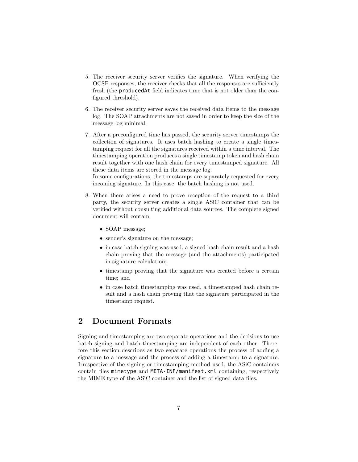- 5. The receiver security server verifies the signature. When verifying the OCSP responses, the receiver checks that all the responses are sufficiently fresh (the producedAt field indicates time that is not older than the configured threshold).
- 6. The receiver security server saves the received data items to the message log. The SOAP attachments are not saved in order to keep the size of the message log minimal.
- 7. After a preconfigured time has passed, the security server timestamps the collection of signatures. It uses batch hashing to create a single timestamping request for all the signatures received within a time interval. The timestamping operation produces a single timestamp token and hash chain result together with one hash chain for every timestamped signature. All these data items are stored in the message log.

In some configurations, the timestamps are separately requested for every incoming signature. In this case, the batch hashing is not used.

- 8. When there arises a need to prove reception of the request to a third party, the security server creates a single ASiC container that can be verified without consulting additional data sources. The complete signed document will contain
	- SOAP message;
	- sender's signature on the message;
	- in case batch signing was used, a signed hash chain result and a hash chain proving that the message (and the attachments) participated in signature calculation;
	- timestamp proving that the signature was created before a certain time; and
	- in case batch timestamping was used, a timestamped hash chain result and a hash chain proving that the signature participated in the timestamp request.

## <span id="page-6-0"></span>2 Document Formats

Signing and timestamping are two separate operations and the decisions to use batch signing and batch timestamping are independent of each other. Therefore this section describes as two separate operations the process of adding a signature to a message and the process of adding a timestamp to a signature. Irrespective of the signing or timestamping method used, the ASiC containers contain files mimetype and META-INF/manifest.xml containing, respectively the MIME type of the ASiC container and the list of signed data files.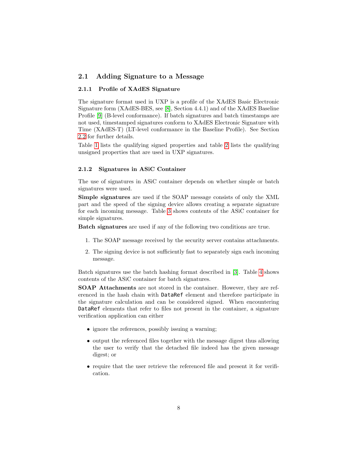#### <span id="page-7-0"></span>2.1 Adding Signature to a Message

#### <span id="page-7-1"></span>2.1.1 Profile of XAdES Signature

The signature format used in UXP is a profile of the XAdES Basic Electronic Signature form (XAdES-BES, see [\[8\]](#page-12-4), Section 4.4.1) and of the XAdES Baseline Profile [\[9\]](#page-12-10) (B-level conformance). If batch signatures and batch timestamps are not used, timestamped signatures conform to XAdES Electronic Signature with Time (XAdES-T) (LT-level conformance in the Baseline Profile). See Section [2.2](#page-8-0) for further details.

Table [1](#page-8-1) lists the qualifying signed properties and table [2](#page-9-0) lists the qualifying unsigned properties that are used in UXP signatures.

#### <span id="page-7-2"></span>2.1.2 Signatures in ASiC Container

The use of signatures in ASiC container depends on whether simple or batch signatures were used.

Simple signatures are used if the SOAP message consists of only the XML part and the speed of the signing device allows creating a separate signature for each incoming message. Table [3](#page-10-1) shows contents of the ASiC container for simple signatures.

Batch signatures are used if any of the following two conditions are true.

- 1. The SOAP message received by the security server contains attachments.
- 2. The signing device is not sufficiently fast to separately sign each incoming message.

Batch signatures use the batch hashing format described in [\[3\]](#page-12-7). Table [4](#page-10-2) shows contents of the ASiC container for batch signatures.

SOAP Attachments are not stored in the container. However, they are referenced in the hash chain with DataRef element and therefore participate in the signature calculation and can be considered signed. When encountering DataRef elements that refer to files not present in the container, a signature verification application can either

- ignore the references, possibly issuing a warning;
- output the referenced files together with the message digest thus allowing the user to verify that the detached file indeed has the given message digest; or
- require that the user retrieve the referenced file and present it for verification.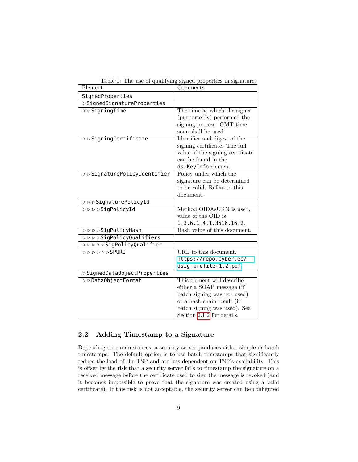| Element                                                                                                                                                                                                                                                                                                                       | Comments                                                   |  |  |
|-------------------------------------------------------------------------------------------------------------------------------------------------------------------------------------------------------------------------------------------------------------------------------------------------------------------------------|------------------------------------------------------------|--|--|
| SignedProperties                                                                                                                                                                                                                                                                                                              |                                                            |  |  |
| ▷ SignedSignatureProperties                                                                                                                                                                                                                                                                                                   |                                                            |  |  |
| $\rhd$ $\triangleright$ $\frac{1}{2}$ $\frac{1}{2}$ $\frac{1}{2}$ $\frac{1}{2}$ $\frac{1}{2}$ $\frac{1}{2}$ $\frac{1}{2}$ $\frac{1}{2}$ $\frac{1}{2}$ $\frac{1}{2}$ $\frac{1}{2}$ $\frac{1}{2}$ $\frac{1}{2}$ $\frac{1}{2}$ $\frac{1}{2}$ $\frac{1}{2}$ $\frac{1}{2}$ $\frac{1}{2}$ $\frac{1}{2}$ $\frac{1}{2}$ $\frac{1}{2}$ | The time at which the signer                               |  |  |
|                                                                                                                                                                                                                                                                                                                               | (purportedly) performed the                                |  |  |
|                                                                                                                                                                                                                                                                                                                               | signing process. GMT time                                  |  |  |
|                                                                                                                                                                                                                                                                                                                               | zone shall be used.                                        |  |  |
| ⊳ ⊳ SigningCertificate                                                                                                                                                                                                                                                                                                        | Identifier and digest of the                               |  |  |
|                                                                                                                                                                                                                                                                                                                               | signing certificate. The full                              |  |  |
|                                                                                                                                                                                                                                                                                                                               | value of the signing certificate                           |  |  |
|                                                                                                                                                                                                                                                                                                                               | can be found in the                                        |  |  |
|                                                                                                                                                                                                                                                                                                                               | ds:KeyInfo element.                                        |  |  |
| ▷ ▷ SignaturePolicyIdentifier                                                                                                                                                                                                                                                                                                 | Policy under which the                                     |  |  |
|                                                                                                                                                                                                                                                                                                                               | signature can be determined<br>to be valid. Refers to this |  |  |
|                                                                                                                                                                                                                                                                                                                               | document.                                                  |  |  |
| <b>DDDSignaturePolicyId</b>                                                                                                                                                                                                                                                                                                   |                                                            |  |  |
| <b>DDDDSigPolicyId</b>                                                                                                                                                                                                                                                                                                        | Method OIDAsURN is used,                                   |  |  |
|                                                                                                                                                                                                                                                                                                                               | value of the OID is                                        |  |  |
|                                                                                                                                                                                                                                                                                                                               | 1.3.6.1.4.1.3516.16.2.                                     |  |  |
| <b>DDDDSigPolicyHash</b>                                                                                                                                                                                                                                                                                                      | Hash value of this document.                               |  |  |
| <b>DDDDSigPolicyQualifiers</b>                                                                                                                                                                                                                                                                                                |                                                            |  |  |
| <b>DDDDDSigPolicyQualifier</b>                                                                                                                                                                                                                                                                                                |                                                            |  |  |
| ▷▷▷▷▷SPURI                                                                                                                                                                                                                                                                                                                    | URL to this document.                                      |  |  |
|                                                                                                                                                                                                                                                                                                                               | https://repo.cyber.ee/                                     |  |  |
|                                                                                                                                                                                                                                                                                                                               | dsig-profile-1.2.pdf                                       |  |  |
| ▷SignedDataObjectProperties                                                                                                                                                                                                                                                                                                   |                                                            |  |  |
| ⊳ ⊳DataObjectFormat                                                                                                                                                                                                                                                                                                           | This element will describe                                 |  |  |
|                                                                                                                                                                                                                                                                                                                               | either a SOAP message (if                                  |  |  |
|                                                                                                                                                                                                                                                                                                                               | batch signing was not used)                                |  |  |
|                                                                                                                                                                                                                                                                                                                               | or a hash chain result (if                                 |  |  |
|                                                                                                                                                                                                                                                                                                                               | batch signing was used). See                               |  |  |
|                                                                                                                                                                                                                                                                                                                               | Section 2.1.2 for details.                                 |  |  |

<span id="page-8-1"></span>Table 1: The use of qualifying signed properties in signatures

#### <span id="page-8-0"></span>2.2 Adding Timestamp to a Signature

Depending on circumstances, a security server produces either simple or batch timestamps. The default option is to use batch timestamps that significantly reduce the load of the TSP and are less dependent on TSP's availability. This is offset by the risk that a security server fails to timestamp the signature on a received message before the certificate used to sign the message is revoked (and it becomes impossible to prove that the signature was created using a valid certificate). If this risk is not acceptable, the security server can be configured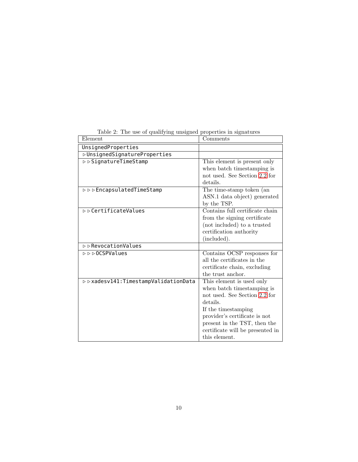| Lable 2. The use of qualitying unsigned properties in signatures |                                  |
|------------------------------------------------------------------|----------------------------------|
| Element                                                          | Comments                         |
| UnsignedProperties                                               |                                  |
| <b>DUnsignedSignatureProperties</b>                              |                                  |
| ⊳ ⊳ SignatureTimeStamp                                           | This element is present only     |
|                                                                  | when batch timestamping is       |
|                                                                  | not used. See Section 2.2 for    |
|                                                                  | details.                         |
| <b>▷</b> ▷▷EncapsulatedTimeStamp                                 | The time-stamp token (an         |
|                                                                  | ASN.1 data object) generated     |
|                                                                  | by the TSP.                      |
| <b>▷</b> ⊳ CertificateValues                                     | Contains full certificate chain  |
|                                                                  | from the signing certificate     |
|                                                                  | (not included) to a trusted      |
|                                                                  | certification authority          |
|                                                                  | (included).                      |
| $\triangleright$ $\triangleright$ RevocationValues               |                                  |
| <b>▷ ▷ ▷ OCSPValues</b>                                          | Contains OCSP responses for      |
|                                                                  | all the certificates in the      |
|                                                                  | certificate chain, excluding     |
|                                                                  | the trust anchor.                |
| > > xadesv141: TimestampValidationData                           | This element is used only        |
|                                                                  | when batch timestamping is       |
|                                                                  | not used. See Section 2.2 for    |
|                                                                  | details.                         |
|                                                                  | If the timestamping              |
|                                                                  | provider's certificate is not    |
|                                                                  | present in the TST, then the     |
|                                                                  | certificate will be presented in |
|                                                                  | this element.                    |

<span id="page-9-0"></span>Table 2: The use of qualifying unsigned properties in signatures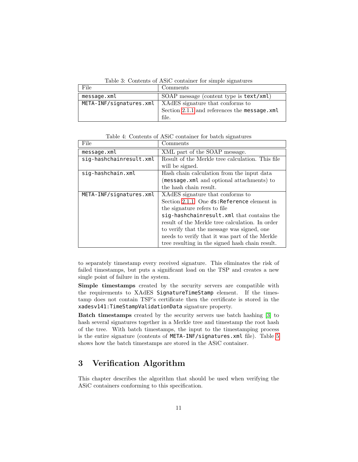<span id="page-10-1"></span>Table 3: Contents of ASiC container for simple signatures

| File        | Comments                                                   |
|-------------|------------------------------------------------------------|
| message.xml | SOAP message (content type is text/xml)                    |
|             | META-INF/signatures.xml   XAdES signature that conforms to |
|             | Section 2.1.1 and references the message.xml               |
|             | file.                                                      |

<span id="page-10-2"></span>Table 4: Contents of ASiC container for batch signatures

| File                    | Comments                                         |
|-------------------------|--------------------------------------------------|
| message.xml             | XML part of the SOAP message.                    |
| sig-hashchainresult.xml | Result of the Merkle tree calculation. This file |
|                         | will be signed.                                  |
| sig-hashchain.xml       | Hash chain calculation from the input data       |
|                         | (message.xml and optional attachments) to        |
|                         | the hash chain result.                           |
| META-INF/signatures.xml | XACES signature that conforms to                 |
|                         | Section 2.1.1. One ds: Reference element in      |
|                         | the signature refers to file                     |
|                         | sig-hashchainresult.xml that contains the        |
|                         | result of the Merkle tree calculation. In order  |
|                         | to verify that the message was signed, one       |
|                         | needs to verify that it was part of the Merkle   |
|                         | tree resulting in the signed hash chain result.  |

to separately timestamp every received signature. This eliminates the risk of failed timestamps, but puts a significant load on the TSP and creates a new single point of failure in the system.

Simple timestamps created by the security servers are compatible with the requirements to XAdES SignatureTimeStamp element. If the timestamp does not contain TSP's certificate then the certificate is stored in the xadesv141:TimeStampValidationData signature property.

Batch timestamps created by the security servers use batch hashing [\[3\]](#page-12-7) to hash several signatures together in a Merkle tree and timestamp the root hash of the tree. With batch timestamps, the input to the timestamping process is the entire signature (contents of META-INF/signatures.xml file). Table [5](#page-11-0) shows how the batch timestamps are stored in the ASiC container.

# <span id="page-10-0"></span>3 Verification Algorithm

This chapter describes the algorithm that should be used when verifying the ASiC containers conforming to this specification.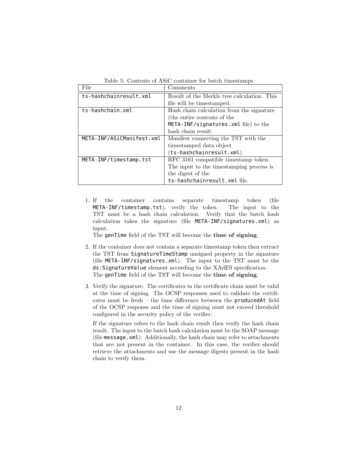<span id="page-11-0"></span>

| Table 5: Contents of ASiC container for batch timestamps |  |  |  |  |
|----------------------------------------------------------|--|--|--|--|
|----------------------------------------------------------|--|--|--|--|

| File                      | Comments                                    |
|---------------------------|---------------------------------------------|
| ts-hashchainresult.xml    | Result of the Merkle tree calculation. This |
|                           | file will be timestamped.                   |
| ts-hashchain.xml          | Hash chain calculation from the signature   |
|                           | (the entire contents of the                 |
|                           | META-INF/signatures.xml file) to the        |
|                           | hash chain result.                          |
| META-INF/ASiCManifest.xml | Manifest connecting the TST with the        |
|                           | timestamped data object                     |
|                           | (ts-hashchainresult.xml).                   |
| META-INF/timestamp.tst    | RFC 3161 compatible timestamp token.        |
|                           | The input to the timestamping process is    |
|                           | the digest of the                           |
|                           | ts-hashchainresult.xml file.                |

1. If the container contains separate timestamp token (file META-INF/timestamp.tst), verify the token. The input to the TST must be a hash chain calculation. Verify that the batch hash calculation takes the signature (file META-INF/signatures.xml) as input.

The genTime field of the TST will become the time of signing.

- 2. If the container does not contain a separate timestamp token then extract the TST from SignatureTimeStamp unsigned property in the signature (file META-INF/signatures.xml). The input to the TST must be the ds:SignatureValue element according to the XAdES specification. The genTime field of the TST will become the time of signing.
- 3. Verify the signature. The certificates in the certificate chain must be valid at the time of signing. The OCSP responses used to validate the certificates must be fresh – the time difference between the producedAt field of the OCSP response and the time of signing must not exceed threshold configured in the security policy of the verifier.

If the signature refers to the hash chain result then verify the hash chain result. The input to the batch hash calculation must be the SOAP message (file message.xml). Additionally, the hash chain may refer to attachments that are not present in the container. In this case, the verifier should retrieve the attachments and use the message digests present in the hash chain to verify them.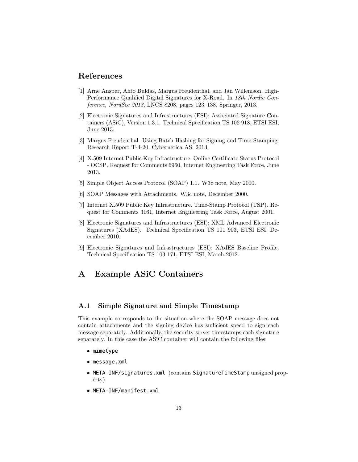### References

- <span id="page-12-2"></span>[1] Arne Ansper, Ahto Buldas, Margus Freudenthal, and Jan Willemson. High-Performance Qualified Digital Signatures for X-Road. In 18th Nordic Conference, NordSec 2013, LNCS 8208, pages 123–138. Springer, 2013.
- <span id="page-12-3"></span>[2] Electronic Signatures and Infrastructures (ESI); Associated Signature Containers (ASiC), Version 1.3.1. Technical Specification TS 102 918, ETSI ESI, June 2013.
- <span id="page-12-7"></span>[3] Margus Freudenthal. Using Batch Hashing for Signing and Time-Stamping. Research Report T-4-20, Cybernetica AS, 2013.
- <span id="page-12-6"></span>[4] X.509 Internet Public Key Infrastructure. Online Certificate Status Protocol - OCSP. Request for Comments 6960, Internet Engineering Task Force, June 2013.
- <span id="page-12-8"></span>[5] Simple Object Access Protocol (SOAP) 1.1. W3c note, May 2000.
- <span id="page-12-9"></span>[6] SOAP Messages with Attachments. W3c note, December 2000.
- <span id="page-12-5"></span>[7] Internet X.509 Public Key Infrastructure. Time-Stamp Protocol (TSP). Request for Comments 3161, Internet Engineering Task Force, August 2001.
- <span id="page-12-4"></span>[8] Electronic Signatures and Infrastructures (ESI); XML Advanced Electronic Signatures (XAdES). Technical Specification TS 101 903, ETSI ESI, December 2010.
- <span id="page-12-10"></span>[9] Electronic Signatures and Infrastructures (ESI); XAdES Baseline Profile. Technical Specification TS 103 171, ETSI ESI, March 2012.

## <span id="page-12-0"></span>A Example ASiC Containers

#### <span id="page-12-1"></span>A.1 Simple Signature and Simple Timestamp

This example corresponds to the situation where the SOAP message does not contain attachments and the signing device has sufficient speed to sign each message separately. Additionally, the security server timestamps each signature separately. In this case the ASiC container will contain the following files:

- mimetype
- message.xml
- META-INF/signatures.xml (contains SignatureTimeStamp unsigned property)
- META-INF/manifest.xml